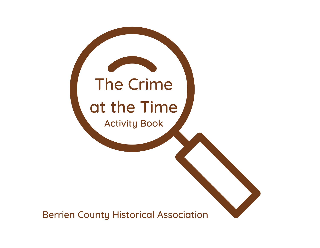# **The Crime**

# at the Time

**Activity Book** 

**Berrien County Historical Association**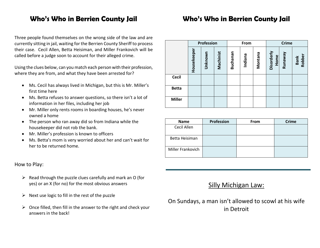## **Who's Who in Berrien County Jail**

Three people found themselves on the wrong side of the law and are currently sitting in jail, waiting for the Berrien County Sheriff to process their case. Cecil Allen, Betta Heisiman, and Miller Frankovich will be called before a judge soon to account for their alleged crime.

Using the clues below, can you match each person with their profession, where they are from, and what they have been arrested for?

- Ms. Cecil has always lived in Michigan, but this is Mr. Miller's first time here
- Ms. Betta refuses to answer questions, so there isn't a lot of information in her files, including her job
- Mr. Miller only rents rooms in boarding houses, he's never owned a home
- The person who ran away did so from Indiana while the housekeeper did not rob the bank.
- Mr. Miller's profession is known to officers
- Ms. Betta's mom is very worried about her and can't wait for her to be returned home.

|               | Profession  |         | From      |          | <b>Crime</b> |         |                    |         |                       |
|---------------|-------------|---------|-----------|----------|--------------|---------|--------------------|---------|-----------------------|
|               | Housekeeper | Unknown | Machinist | Buchanan | Indiana      | Montana | Disorderly<br>Home | Runaway | Robber<br><b>Bank</b> |
| <b>Cecil</b>  |             |         |           |          |              |         |                    |         |                       |
| <b>Betta</b>  |             |         |           |          |              |         |                    |         |                       |
| <b>Miller</b> |             |         |           |          |              |         |                    |         |                       |

| Name              | Profession | From | <b>Crime</b> |
|-------------------|------------|------|--------------|
| Cecil Allen       |            |      |              |
| Betta Heisiman    |            |      |              |
| Miller Frankovich |            |      |              |

How to Play:

- $\triangleright$  Read through the puzzle clues carefully and mark an O (for yes) or an X (for no) for the most obvious answers
- $\triangleright$  Next use logic to fill in the rest of the puzzle
- $\triangleright$  Once filled, then fill in the answer to the right and check your answers in the back!

#### Silly Michigan Law:

On Sundays, a man isn't allowed to scowl at his wife in Detroit

# **Who's Who in Berrien County Jail**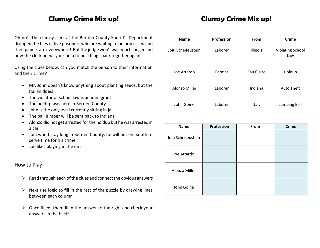#### **Clumsy Crime Mix up!**

Oh no! The clumsy clerk at the Berrien County Sheriff's Department dropped the files of five prisoners who are waiting to be processed and their papers are everywhere! But the judge won't wait much longer and now the clerk needs your help to put things back together again.

Using the clues below, can you match the person to their information and their crime?

- Mr. John doesn't know anything about planting seeds, but the Italian does!
- The violator of school law is an immigrant
- The holdup was here in Berrien County
- John is the only local currently sitting in jail
- The bail jumper will be sent back to Indiana
- Alonzo did not get arrested for the holdup but he was arrested in a car
- Joiu won't stay long in Berrien County, he will be sent south to serve time for his crime.
- Joe likes playing in the dirt

How to Play:

- $\triangleright$  Read through each of the clues and connect the obvious answers
- $\triangleright$  Next use logic to fill in the rest of the puzzle by drawing lines between each column
- $\triangleright$  Once filled, then fill in the answer to the right and check your answers in the back!

# **Clumsy Crime Mix up!**

| <b>Name</b>        | <b>Profession</b> | From            | Crime                          |
|--------------------|-------------------|-----------------|--------------------------------|
| Joiu Scheifeustein | Laborer           | <b>Illinois</b> | <b>Violating School</b><br>Law |
| Joe Attardo        | Farmer            | Eau Claire      | Holdup                         |
| Alonzo Miller      | Laborer           | Indiana         | <b>Auto Theft</b>              |
| John Goine         | Laborer           | Italy           | <b>Jumping Bail</b>            |

| <b>Name</b>        | <b>Profession</b> | From | <b>Crime</b> |
|--------------------|-------------------|------|--------------|
| Joiu Scheifeustein |                   |      |              |
| Joe Attardo        |                   |      |              |
| Alonzo Miller      |                   |      |              |
| John Goine         |                   |      |              |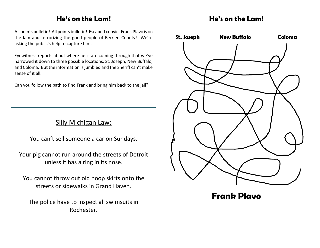## **He's on the Lam!**

All points bulletin! All points bulletin! Escaped convict Frank Plavo is on the lam and terrorizing the good people of Berrien County! We're asking the public's help to capture him.

Eyewitness reports about where he is are coming through that we've narrowed it down to three possible locations: St. Joseph, New Buffalo, and Coloma. But the information is jumbled and the Sheriff can't make sense of it all.

Can you follow the path to find Frank and bring him back to the jail?

#### Silly Michigan Law:

You can't sell someone a car on Sundays.

Your pig cannot run around the streets of Detroit unless it has a ring in its nose.

You cannot throw out old hoop skirts onto the streets or sidewalks in Grand Haven.

The police have to inspect all swimsuits in Rochester.

## **He's on the Lam!**



**Frank Plavo**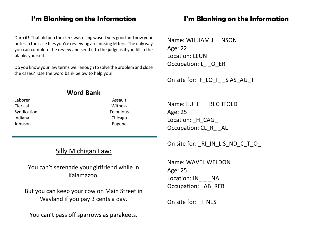#### **I'm Blanking on the Information**

Darn it! That old pen the clerk was using wasn't very good and now your notes in the case files you're reviewing are missing letters. The only way you can complete the review and send it to the judge is if you fill in the blanks yourself.

Do you know your law terms well enough to solve the problem and close the cases? Use the word bank below to help you!

| <b>Word Bank</b> |  |  |
|------------------|--|--|
| Assault          |  |  |
| <b>Witness</b>   |  |  |
| Felonious        |  |  |
| Chicago          |  |  |
| Eugene           |  |  |
|                  |  |  |

#### Silly Michigan Law:

You can't serenade your girlfriend while in Kalamazoo.

But you can keep your cow on Main Street in Wayland if you pay 3 cents a day.

You can't pass off sparrows as parakeets.

#### **I'm Blanking on the Information**

Name: WILLIAM J \_ \_ NSON Age: 22 Location: LEUN Occupation: L \_ O\_ER

On site for: F\_LO\_I\_\_ S AS\_AU\_T

Name: EU E BECHTOLD Age: 25 Location: H CAG Occupation: CL\_R \_\_ AL

On site for: RI\_IN\_L S\_ND\_C\_T\_O\_

Name: WAVEL WELDON Age: 25 Location: IN\_ \_ \_ NA Occupation: AB RER

On site for:  $\blacksquare$  NES